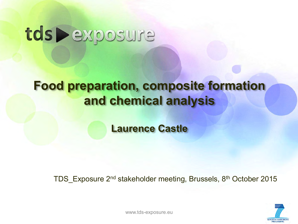# tds Pexposure

# **Food preparation, composite formation and chemical analysis**

**Laurence Castle**

TDS Exposure 2<sup>nd</sup> stakeholder meeting, Brussels, 8<sup>th</sup> October 2015



www.tds-exposure.eu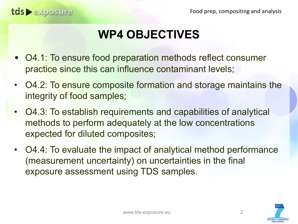# **WP4 OBJECTIVES**

- O4.1: To ensure food preparation methods reflect consumer practice since this can influence contaminant levels;
- O4.2: To ensure composite formation and storage maintains the integrity of food samples;
- O4.3: To establish requirements and capabilities of analytical methods to perform adequately at the low concentrations expected for diluted composites;
- O4.4: To evaluate the impact of analytical method performance (measurement uncertainty) on uncertainties in the final exposure assessment using TDS samples.

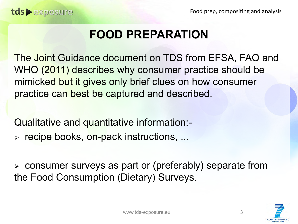Food prep, compositing and analysis

# **FOOD PREPARATION**

The Joint Guidance document on TDS from EFSA, FAO and WHO (2011) describes why consumer practice should be mimicked but it gives only brief clues on how consumer practice can best be captured and described.

Qualitative and quantitative information:-

> recipe books, on-pack instructions, ...

 consumer surveys as part or (preferably) separate from the Food Consumption (Dietary) Surveys.

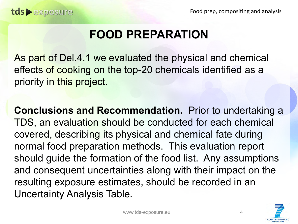# **FOOD PREPARATION**

As part of Del.4.1 we evaluated the physical and chemical effects of cooking on the top-20 chemicals identified as a priority in this project.

**Conclusions and Recommendation.** Prior to undertaking a TDS, an evaluation should be conducted for each chemical covered, describing its physical and chemical fate during normal food preparation methods. This evaluation report should guide the formation of the food list. Any assumptions and consequent uncertainties along with their impact on the resulting exposure estimates, should be recorded in an Uncertainty Analysis Table.

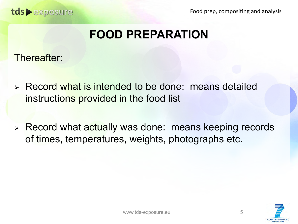Food prep, compositing and analysis

# **FOOD PREPARATION**

Thereafter:

- Record what is intended to be done: means detailed instructions provided in the food list
- > Record what actually was done: means keeping records of times, temperatures, weights, photographs etc.

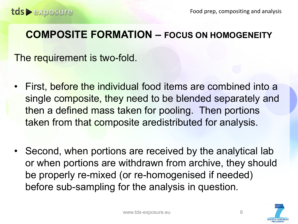The requirement is two-fold.

- First, before the individual food items are combined into a single composite, they need to be blended separately and then a defined mass taken for pooling. Then portions taken from that composite aredistributed for analysis.
- Second, when portions are received by the analytical lab or when portions are withdrawn from archive, they should be properly re-mixed (or re-homogenised if needed) before sub-sampling for the analysis in question.

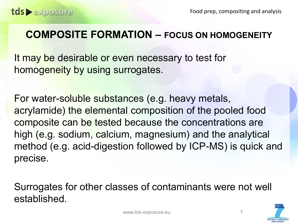It may be desirable or even necessary to test for homogeneity by using surrogates.

For water-soluble substances (e.g. heavy metals, acrylamide) the elemental composition of the pooled food composite can be tested because the concentrations are high (e.g. sodium, calcium, magnesium) and the analytical method (e.g. acid-digestion followed by ICP-MS) is quick and precise.

Surrogates for other classes of contaminants were not well established.

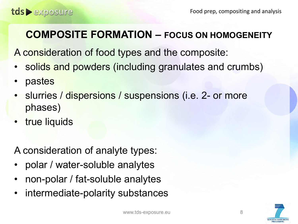A consideration of food types and the composite:

- solids and powders (including granulates and crumbs)
- pastes
- slurries / dispersions / suspensions (i.e. 2- or more phases)
- true liquids

A consideration of analyte types:

- polar / water-soluble analytes
- non-polar / fat-soluble analytes
- intermediate-polarity substances

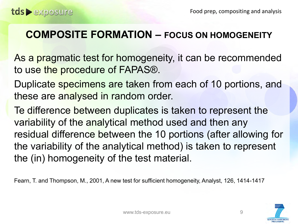As a pragmatic test for homogeneity, it can be recommended to use the procedure of FAPAS®.

Duplicate specimens are taken from each of 10 portions, and these are analysed in random order.

Te difference between duplicates is taken to represent the variability of the analytical method used and then any residual difference between the 10 portions (after allowing for the variability of the analytical method) is taken to represent the (in) homogeneity of the test material.

Fearn, T. and Thompson, M., 2001, A new test for sufficient homogeneity, Analyst, 126, 1414-1417

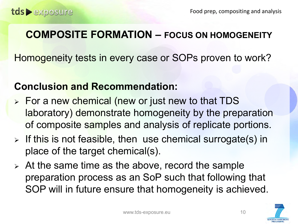Homogeneity tests in every case or SOPs proven to work?

#### **Conclusion and Recommendation:**

- > For a new chemical (new or just new to that TDS laboratory) demonstrate homogeneity by the preparation of composite samples and analysis of replicate portions.
- $\triangleright$  If this is not feasible, then use chemical surrogate(s) in place of the target chemical(s).
- $\triangleright$  At the same time as the above, record the sample preparation process as an SoP such that following that SOP will in future ensure that homogeneity is achieved.

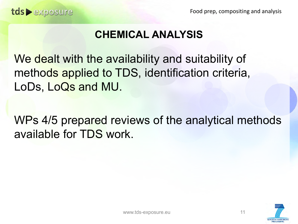### **CHEMICAL ANALYSIS**

We dealt with the availability and suitability of methods applied to TDS, identification criteria, LoDs, LoQs and MU.

WPs 4/5 prepared reviews of the analytical methods available for TDS work.

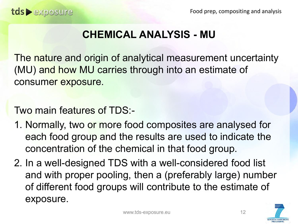#### **CHEMICAL ANALYSIS - MU**

The nature and origin of analytical measurement uncertainty (MU) and how MU carries through into an estimate of consumer exposure.

Two main features of TDS:-

- 1. Normally, two or more food composites are analysed for each food group and the results are used to indicate the concentration of the chemical in that food group.
- 2. In a well-designed TDS with a well-considered food list and with proper pooling, then a (preferably large) number of different food groups will contribute to the estimate of exposure.

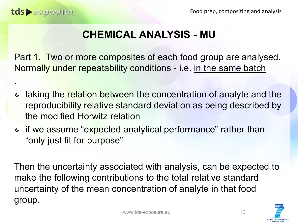.

#### **CHEMICAL ANALYSIS - MU**

Part 1. Two or more composites of each food group are analysed. Normally under repeatability conditions - i.e. in the same batch

- taking the relation between the concentration of analyte and the reproducibility relative standard deviation as being described by the modified Horwitz relation
- \* if we assume "expected analytical performance" rather than "only just fit for purpose"

Then the uncertainty associated with analysis, can be expected to make the following contributions to the total relative standard uncertainty of the mean concentration of analyte in that food group.

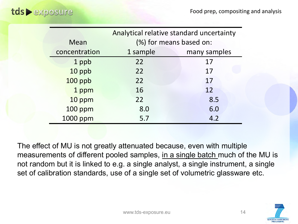|                | Analytical relative standard uncertainty |              |
|----------------|------------------------------------------|--------------|
| Mean           | (%) for means based on:                  |              |
| concentration  | 1 sample                                 | many samples |
| 1 ppb          | 22                                       | 17           |
| 10 ppb         | 22                                       | 17           |
| 100 ppb        | 22                                       | 17           |
| 1 ppm          | 16                                       | 12           |
| 10 ppm         | 22                                       | 8.5          |
| <b>100 ppm</b> | 8.0                                      | 6.0          |
| 1000 ppm       | 5.7                                      | 4.2          |

The effect of MU is not greatly attenuated because, even with multiple measurements of different pooled samples, in a single batch much of the MU is not random but it is linked to e.g. a single analyst, a single instrument, a single set of calibration standards, use of a single set of volumetric glassware etc.

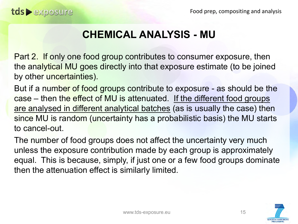#### **CHEMICAL ANALYSIS - MU**

Part 2. If only one food group contributes to consumer exposure, then the analytical MU goes directly into that exposure estimate (to be joined by other uncertainties).

But if a number of food groups contribute to exposure - as should be the case – then the effect of MU is attenuated. If the different food groups are analysed in different analytical batches (as is usually the case) then since MU is random (uncertainty has a probabilistic basis) the MU starts to cancel-out.

The number of food groups does not affect the uncertainty very much unless the exposure contribution made by each group is approximately equal. This is because, simply, if just one or a few food groups dominate then the attenuation effect is similarly limited.

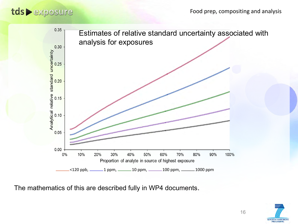#### Food prep, compositing and analysis

#### tds > exposure



The mathematics of this are described fully in WP4 documents.

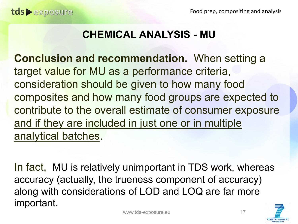#### **CHEMICAL ANALYSIS - MU**

**Conclusion and recommendation.** When setting a target value for MU as a performance criteria, consideration should be given to how many food composites and how many food groups are expected to contribute to the overall estimate of consumer exposure and if they are included in just one or in multiple analytical batches.

In fact, MU is relatively unimportant in TDS work, whereas accuracy (actually, the trueness component of accuracy) along with considerations of LOD and LOQ are far more important.

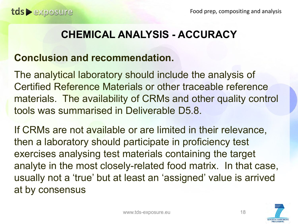#### **CHEMICAL ANALYSIS - ACCURACY**

#### **Conclusion and recommendation.**

The analytical laboratory should include the analysis of Certified Reference Materials or other traceable reference materials. The availability of CRMs and other quality control tools was summarised in Deliverable D5.8.

If CRMs are not available or are limited in their relevance, then a laboratory should participate in proficiency test exercises analysing test materials containing the target analyte in the most closely-related food matrix. In that case, usually not a 'true' but at least an 'assigned' value is arrived at by consensus

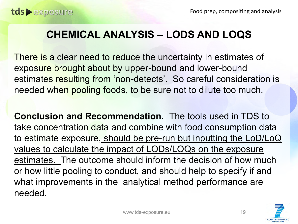#### **CHEMICAL ANALYSIS – LODS AND LOQS**

There is a clear need to reduce the uncertainty in estimates of exposure brought about by upper-bound and lower-bound estimates resulting from 'non-detects'. So careful consideration is needed when pooling foods, to be sure not to dilute too much.

**Conclusion and Recommendation.** The tools used in TDS to take concentration data and combine with food consumption data to estimate exposure, should be pre-run but inputting the LoD/LoQ values to calculate the impact of LODs/LOQs on the exposure estimates. The outcome should inform the decision of how much or how little pooling to conduct, and should help to specify if and what improvements in the analytical method performance are needed.

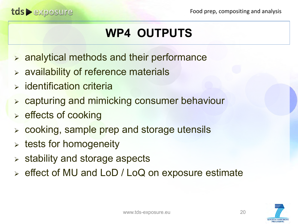# **WP4 OUTPUTS**

- $\triangleright$  analytical methods and their performance
- $\triangleright$  availability of reference materials
- $\triangleright$  identification criteria

tds exposure

- capturing and mimicking consumer behaviour
- $\triangleright$  effects of cooking
- $\triangleright$  cooking, sample prep and storage utensils
- $\triangleright$  tests for homogeneity
- $\triangleright$  stability and storage aspects
- effect of MU and LoD / LoQ on exposure estimate